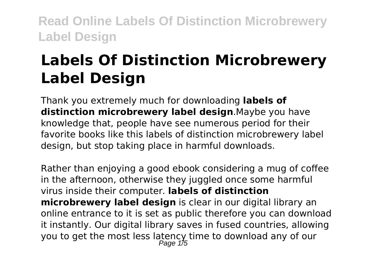# **Labels Of Distinction Microbrewery Label Design**

Thank you extremely much for downloading **labels of distinction microbrewery label design**.Maybe you have knowledge that, people have see numerous period for their favorite books like this labels of distinction microbrewery label design, but stop taking place in harmful downloads.

Rather than enjoying a good ebook considering a mug of coffee in the afternoon, otherwise they juggled once some harmful virus inside their computer. **labels of distinction microbrewery label design** is clear in our digital library an online entrance to it is set as public therefore you can download it instantly. Our digital library saves in fused countries, allowing you to get the most less latency time to download any of our<br>Page 1/5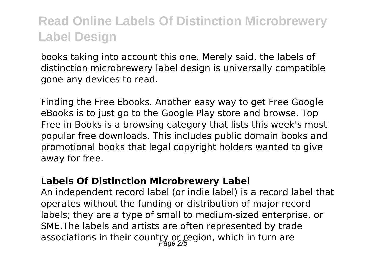books taking into account this one. Merely said, the labels of distinction microbrewery label design is universally compatible gone any devices to read.

Finding the Free Ebooks. Another easy way to get Free Google eBooks is to just go to the Google Play store and browse. Top Free in Books is a browsing category that lists this week's most popular free downloads. This includes public domain books and promotional books that legal copyright holders wanted to give away for free.

#### **Labels Of Distinction Microbrewery Label**

An independent record label (or indie label) is a record label that operates without the funding or distribution of major record labels; they are a type of small to medium-sized enterprise, or SME.The labels and artists are often represented by trade associations in their count $\log_{20}$  r region, which in turn are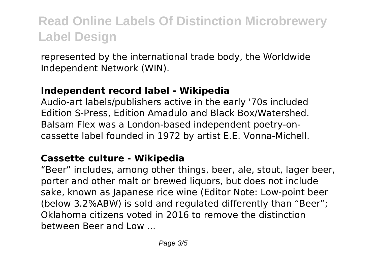represented by the international trade body, the Worldwide Independent Network (WIN).

#### **Independent record label - Wikipedia**

Audio-art labels/publishers active in the early '70s included Edition S-Press, Edition Amadulo and Black Box/Watershed. Balsam Flex was a London-based independent poetry-oncassette label founded in 1972 by artist E.E. Vonna-Michell.

#### **Cassette culture - Wikipedia**

"Beer" includes, among other things, beer, ale, stout, lager beer, porter and other malt or brewed liquors, but does not include sake, known as Japanese rice wine (Editor Note: Low-point beer (below 3.2%ABW) is sold and regulated differently than "Beer"; Oklahoma citizens voted in 2016 to remove the distinction between Beer and Low ...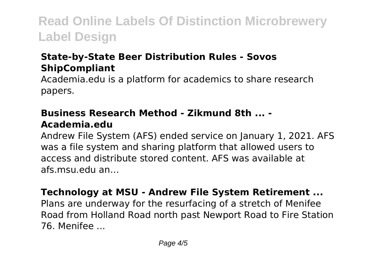### **State-by-State Beer Distribution Rules - Sovos ShipCompliant**

Academia.edu is a platform for academics to share research papers.

#### **Business Research Method - Zikmund 8th ... - Academia.edu**

Andrew File System (AFS) ended service on January 1, 2021. AFS was a file system and sharing platform that allowed users to access and distribute stored content. AFS was available at afs.msu.edu an…

#### **Technology at MSU - Andrew File System Retirement ...**

Plans are underway for the resurfacing of a stretch of Menifee Road from Holland Road north past Newport Road to Fire Station 76. Menifee ...